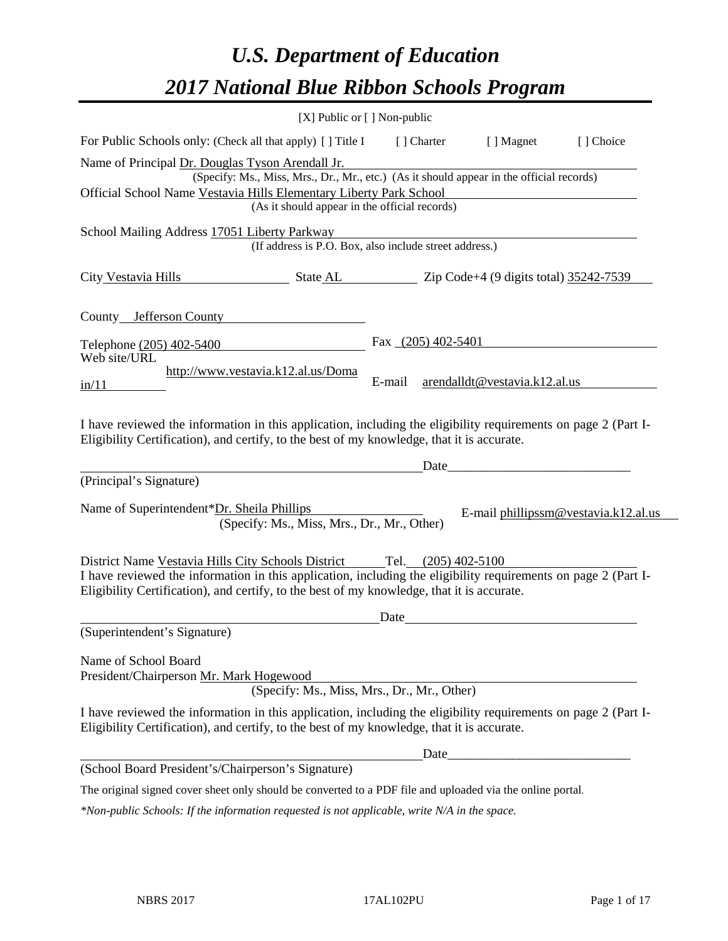# *U.S. Department of Education 2017 National Blue Ribbon Schools Program*

|                                                                                                                                                                                                                                                                    | [X] Public or [] Non-public                                                                                                               |                      |                       |                               |                                      |
|--------------------------------------------------------------------------------------------------------------------------------------------------------------------------------------------------------------------------------------------------------------------|-------------------------------------------------------------------------------------------------------------------------------------------|----------------------|-----------------------|-------------------------------|--------------------------------------|
| For Public Schools only: (Check all that apply) [] Title I                                                                                                                                                                                                         |                                                                                                                                           |                      | [ ] Charter           | [ ] Magnet                    | [] Choice                            |
| Name of Principal Dr. Douglas Tyson Arendall Jr.<br>Official School Name Vestavia Hills Elementary Liberty Park School                                                                                                                                             | (Specify: Ms., Miss, Mrs., Dr., Mr., etc.) (As it should appear in the official records)<br>(As it should appear in the official records) |                      |                       |                               |                                      |
| School Mailing Address 17051 Liberty Parkway                                                                                                                                                                                                                       | (If address is P.O. Box, also include street address.)                                                                                    |                      |                       |                               |                                      |
| City Vestavia Hills State AL Zip Code+4 (9 digits total) 35242-7539                                                                                                                                                                                                |                                                                                                                                           |                      |                       |                               |                                      |
| County Jefferson County                                                                                                                                                                                                                                            |                                                                                                                                           |                      |                       |                               |                                      |
| Telephone (205) 402-5400                                                                                                                                                                                                                                           |                                                                                                                                           | Fax $(205)$ 402-5401 |                       |                               |                                      |
| Web site/URL<br>in/11                                                                                                                                                                                                                                              | http://www.vestavia.k12.al.us/Doma                                                                                                        | E-mail               |                       | arendalldt@vestavia.k12.al.us |                                      |
| I have reviewed the information in this application, including the eligibility requirements on page 2 (Part I-<br>Eligibility Certification), and certify, to the best of my knowledge, that it is accurate.                                                       |                                                                                                                                           |                      |                       |                               |                                      |
| (Principal's Signature)                                                                                                                                                                                                                                            |                                                                                                                                           |                      | Date                  |                               |                                      |
| Name of Superintendent*Dr. Sheila Phillips                                                                                                                                                                                                                         | (Specify: Ms., Miss, Mrs., Dr., Mr., Other)                                                                                               |                      |                       |                               | E-mail phillipssm@vestavia.k12.al.us |
| District Name Vestavia Hills City Schools District<br>I have reviewed the information in this application, including the eligibility requirements on page 2 (Part I-<br>Eligibility Certification), and certify, to the best of my knowledge, that it is accurate. |                                                                                                                                           |                      | Tel. $(205)$ 402-5100 |                               |                                      |
| (Superintendent's Signature)                                                                                                                                                                                                                                       |                                                                                                                                           | Date                 |                       |                               |                                      |
| Name of School Board<br>President/Chairperson Mr. Mark Hogewood                                                                                                                                                                                                    | (Specify: Ms., Miss, Mrs., Dr., Mr., Other)                                                                                               |                      |                       |                               |                                      |
| I have reviewed the information in this application, including the eligibility requirements on page 2 (Part I-<br>Eligibility Certification), and certify, to the best of my knowledge, that it is accurate.                                                       |                                                                                                                                           |                      |                       |                               |                                      |
| (School Board President's/Chairperson's Signature)                                                                                                                                                                                                                 |                                                                                                                                           |                      | Date                  |                               |                                      |
| The original signed cover sheet only should be converted to a PDF file and uploaded via the online portal.                                                                                                                                                         |                                                                                                                                           |                      |                       |                               |                                      |
|                                                                                                                                                                                                                                                                    |                                                                                                                                           |                      |                       |                               |                                      |

*\*Non-public Schools: If the information requested is not applicable, write N/A in the space.*

 $\overline{\phantom{0}}$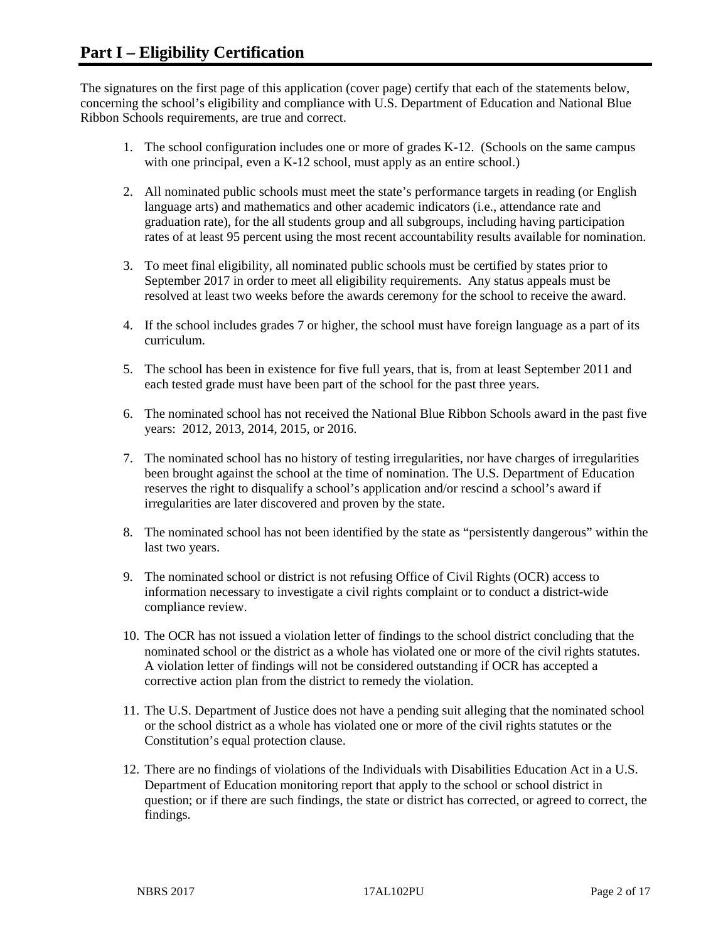The signatures on the first page of this application (cover page) certify that each of the statements below, concerning the school's eligibility and compliance with U.S. Department of Education and National Blue Ribbon Schools requirements, are true and correct.

- 1. The school configuration includes one or more of grades K-12. (Schools on the same campus with one principal, even a K-12 school, must apply as an entire school.)
- 2. All nominated public schools must meet the state's performance targets in reading (or English language arts) and mathematics and other academic indicators (i.e., attendance rate and graduation rate), for the all students group and all subgroups, including having participation rates of at least 95 percent using the most recent accountability results available for nomination.
- 3. To meet final eligibility, all nominated public schools must be certified by states prior to September 2017 in order to meet all eligibility requirements. Any status appeals must be resolved at least two weeks before the awards ceremony for the school to receive the award.
- 4. If the school includes grades 7 or higher, the school must have foreign language as a part of its curriculum.
- 5. The school has been in existence for five full years, that is, from at least September 2011 and each tested grade must have been part of the school for the past three years.
- 6. The nominated school has not received the National Blue Ribbon Schools award in the past five years: 2012, 2013, 2014, 2015, or 2016.
- 7. The nominated school has no history of testing irregularities, nor have charges of irregularities been brought against the school at the time of nomination. The U.S. Department of Education reserves the right to disqualify a school's application and/or rescind a school's award if irregularities are later discovered and proven by the state.
- 8. The nominated school has not been identified by the state as "persistently dangerous" within the last two years.
- 9. The nominated school or district is not refusing Office of Civil Rights (OCR) access to information necessary to investigate a civil rights complaint or to conduct a district-wide compliance review.
- 10. The OCR has not issued a violation letter of findings to the school district concluding that the nominated school or the district as a whole has violated one or more of the civil rights statutes. A violation letter of findings will not be considered outstanding if OCR has accepted a corrective action plan from the district to remedy the violation.
- 11. The U.S. Department of Justice does not have a pending suit alleging that the nominated school or the school district as a whole has violated one or more of the civil rights statutes or the Constitution's equal protection clause.
- 12. There are no findings of violations of the Individuals with Disabilities Education Act in a U.S. Department of Education monitoring report that apply to the school or school district in question; or if there are such findings, the state or district has corrected, or agreed to correct, the findings.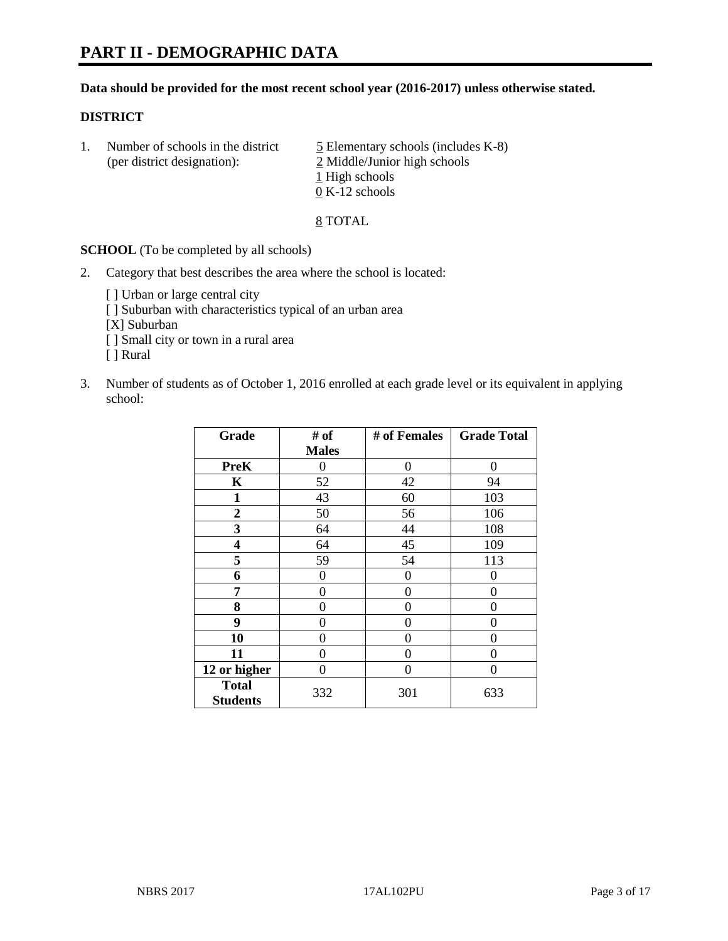#### **Data should be provided for the most recent school year (2016-2017) unless otherwise stated.**

#### **DISTRICT**

1. Number of schools in the district  $\frac{5}{2}$  Elementary schools (includes K-8) (per district designation): 2 Middle/Junior high schools 1 High schools 0 K-12 schools

#### 8 TOTAL

**SCHOOL** (To be completed by all schools)

- 2. Category that best describes the area where the school is located:
	- [] Urban or large central city [ ] Suburban with characteristics typical of an urban area [X] Suburban [ ] Small city or town in a rural area [ ] Rural
- 3. Number of students as of October 1, 2016 enrolled at each grade level or its equivalent in applying school:

| Grade                           | # of         | # of Females | <b>Grade Total</b> |
|---------------------------------|--------------|--------------|--------------------|
|                                 | <b>Males</b> |              |                    |
| <b>PreK</b>                     | 0            | 0            | 0                  |
| $\mathbf K$                     | 52           | 42           | 94                 |
| $\mathbf{1}$                    | 43           | 60           | 103                |
| $\overline{2}$                  | 50           | 56           | 106                |
| 3                               | 64           | 44           | 108                |
| 4                               | 64           | 45           | 109                |
| 5                               | 59           | 54           | 113                |
| 6                               | 0            | 0            | 0                  |
| 7                               | 0            | 0            | 0                  |
| 8                               | 0            | 0            | 0                  |
| 9                               | 0            | 0            | 0                  |
| 10                              | 0            | 0            | 0                  |
| 11                              | 0            | 0            | $\mathbf{\Omega}$  |
| 12 or higher                    | 0            | 0            | 0                  |
| <b>Total</b><br><b>Students</b> | 332          | 301          | 633                |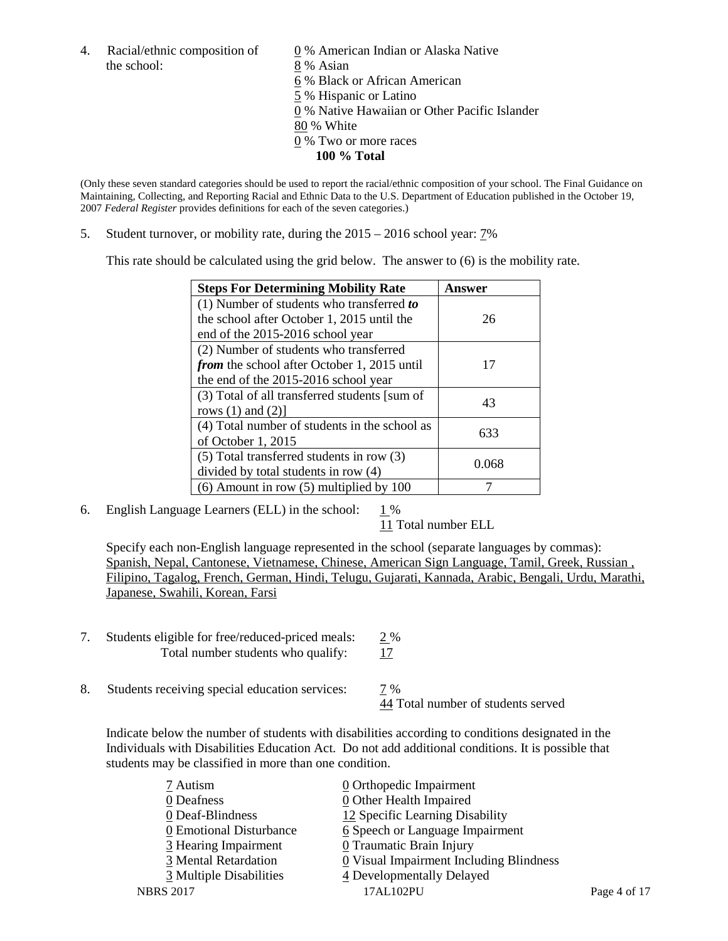the school: 8 % Asian

4. Racial/ethnic composition of  $\qquad \qquad \underline{0}$  % American Indian or Alaska Native 6 % Black or African American 5 % Hispanic or Latino 0 % Native Hawaiian or Other Pacific Islander 80 % White 0 % Two or more races **100 % Total**

(Only these seven standard categories should be used to report the racial/ethnic composition of your school. The Final Guidance on Maintaining, Collecting, and Reporting Racial and Ethnic Data to the U.S. Department of Education published in the October 19, 2007 *Federal Register* provides definitions for each of the seven categories.)

5. Student turnover, or mobility rate, during the 2015 – 2016 school year: 7%

This rate should be calculated using the grid below. The answer to (6) is the mobility rate.

| <b>Steps For Determining Mobility Rate</b>         | Answer |  |
|----------------------------------------------------|--------|--|
| (1) Number of students who transferred to          |        |  |
| the school after October 1, 2015 until the         | 26     |  |
| end of the 2015-2016 school year                   |        |  |
| (2) Number of students who transferred             |        |  |
| <i>from</i> the school after October 1, 2015 until | 17     |  |
| the end of the 2015-2016 school year               |        |  |
| (3) Total of all transferred students [sum of      | 43     |  |
| rows $(1)$ and $(2)$ ]                             |        |  |
| (4) Total number of students in the school as      | 633    |  |
| of October $1, 2015$                               |        |  |
| (5) Total transferred students in row (3)          |        |  |
| divided by total students in row (4)               | 0.068  |  |
| $(6)$ Amount in row $(5)$ multiplied by 100        |        |  |

6. English Language Learners (ELL) in the school:  $1\%$ 

11 Total number ELL

Specify each non-English language represented in the school (separate languages by commas): Spanish, Nepal, Cantonese, Vietnamese, Chinese, American Sign Language, Tamil, Greek, Russian , Filipino, Tagalog, French, German, Hindi, Telugu, Gujarati, Kannada, Arabic, Bengali, Urdu, Marathi, Japanese, Swahili, Korean, Farsi

- 7. Students eligible for free/reduced-priced meals: 2 % Total number students who qualify: 17
- 8. Students receiving special education services: 7 %

44 Total number of students served

Indicate below the number of students with disabilities according to conditions designated in the Individuals with Disabilities Education Act. Do not add additional conditions. It is possible that students may be classified in more than one condition.

| 7 Autism                | $\underline{0}$ Orthopedic Impairment                 |              |
|-------------------------|-------------------------------------------------------|--------------|
| 0 Deafness              | 0 Other Health Impaired                               |              |
| 0 Deaf-Blindness        | 12 Specific Learning Disability                       |              |
| 0 Emotional Disturbance | 6 Speech or Language Impairment                       |              |
| 3 Hearing Impairment    | <b>0</b> Traumatic Brain Injury                       |              |
| 3 Mental Retardation    | $\underline{0}$ Visual Impairment Including Blindness |              |
| 3 Multiple Disabilities | 4 Developmentally Delayed                             |              |
| <b>NBRS 2017</b>        | 17AL102PU                                             | Page 4 of 17 |
|                         |                                                       |              |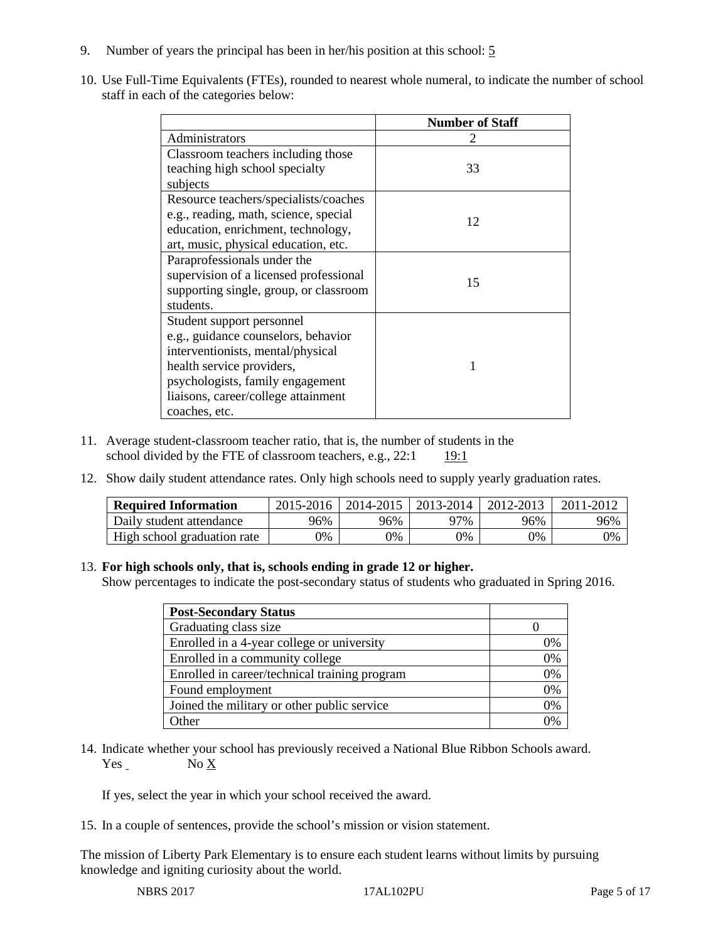- 9. Number of years the principal has been in her/his position at this school: 5
- 10. Use Full-Time Equivalents (FTEs), rounded to nearest whole numeral, to indicate the number of school staff in each of the categories below:

|                                        | <b>Number of Staff</b> |  |
|----------------------------------------|------------------------|--|
| Administrators                         |                        |  |
| Classroom teachers including those     |                        |  |
| teaching high school specialty         | 33                     |  |
| subjects                               |                        |  |
| Resource teachers/specialists/coaches  |                        |  |
| e.g., reading, math, science, special  | 12                     |  |
| education, enrichment, technology,     |                        |  |
| art, music, physical education, etc.   |                        |  |
| Paraprofessionals under the            |                        |  |
| supervision of a licensed professional | 15                     |  |
| supporting single, group, or classroom |                        |  |
| students.                              |                        |  |
| Student support personnel              |                        |  |
| e.g., guidance counselors, behavior    |                        |  |
| interventionists, mental/physical      |                        |  |
| health service providers,              |                        |  |
| psychologists, family engagement       |                        |  |
| liaisons, career/college attainment    |                        |  |
| coaches, etc.                          |                        |  |

- 11. Average student-classroom teacher ratio, that is, the number of students in the school divided by the FTE of classroom teachers, e.g.,  $22:1$  19:1
- 12. Show daily student attendance rates. Only high schools need to supply yearly graduation rates.

| <b>Required Information</b> | 2015-2016 | 2014-2015 | 2013-2014 | 2012-2013 |     |
|-----------------------------|-----------|-----------|-----------|-----------|-----|
| Daily student attendance    | 96%       | 96%       | 97%       | 96%       | 96% |
| High school graduation rate | 0%        | 0%        | 0%        | 9%        | 0%  |

#### 13. **For high schools only, that is, schools ending in grade 12 or higher.**

Show percentages to indicate the post-secondary status of students who graduated in Spring 2016.

| <b>Post-Secondary Status</b>                  |    |
|-----------------------------------------------|----|
| Graduating class size                         |    |
| Enrolled in a 4-year college or university    | 0% |
| Enrolled in a community college               | 0% |
| Enrolled in career/technical training program | 0% |
| Found employment                              | 0% |
| Joined the military or other public service   | 0% |
| Other                                         |    |

14. Indicate whether your school has previously received a National Blue Ribbon Schools award. Yes No X

If yes, select the year in which your school received the award.

15. In a couple of sentences, provide the school's mission or vision statement.

The mission of Liberty Park Elementary is to ensure each student learns without limits by pursuing knowledge and igniting curiosity about the world.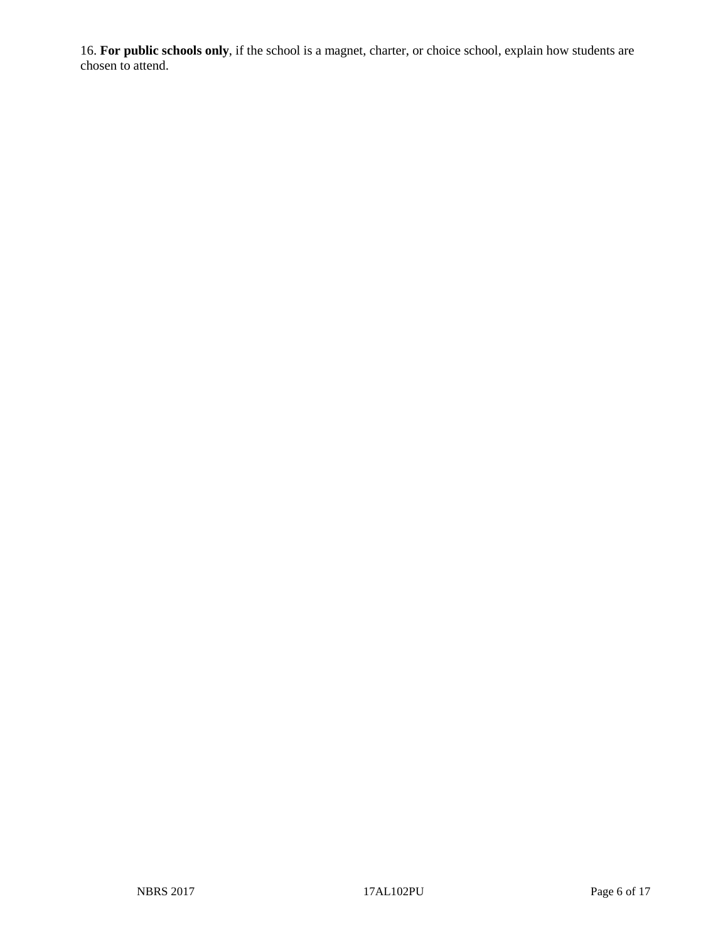16. **For public schools only**, if the school is a magnet, charter, or choice school, explain how students are chosen to attend.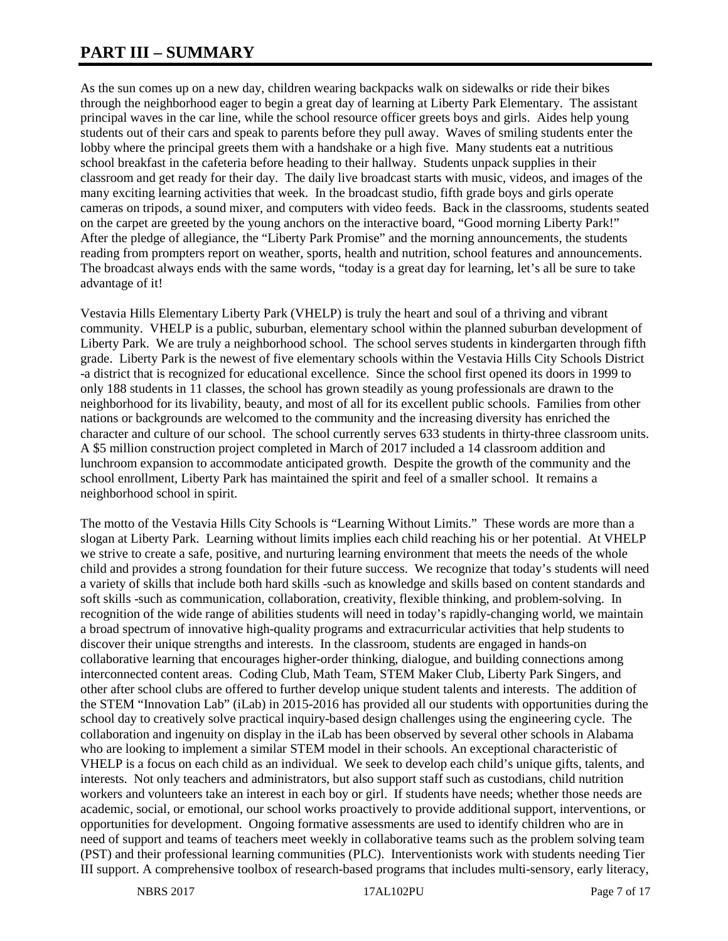# **PART III – SUMMARY**

As the sun comes up on a new day, children wearing backpacks walk on sidewalks or ride their bikes through the neighborhood eager to begin a great day of learning at Liberty Park Elementary. The assistant principal waves in the car line, while the school resource officer greets boys and girls. Aides help young students out of their cars and speak to parents before they pull away. Waves of smiling students enter the lobby where the principal greets them with a handshake or a high five. Many students eat a nutritious school breakfast in the cafeteria before heading to their hallway. Students unpack supplies in their classroom and get ready for their day. The daily live broadcast starts with music, videos, and images of the many exciting learning activities that week. In the broadcast studio, fifth grade boys and girls operate cameras on tripods, a sound mixer, and computers with video feeds. Back in the classrooms, students seated on the carpet are greeted by the young anchors on the interactive board, "Good morning Liberty Park!" After the pledge of allegiance, the "Liberty Park Promise" and the morning announcements, the students reading from prompters report on weather, sports, health and nutrition, school features and announcements. The broadcast always ends with the same words, "today is a great day for learning, let's all be sure to take advantage of it!

Vestavia Hills Elementary Liberty Park (VHELP) is truly the heart and soul of a thriving and vibrant community. VHELP is a public, suburban, elementary school within the planned suburban development of Liberty Park. We are truly a neighborhood school. The school serves students in kindergarten through fifth grade. Liberty Park is the newest of five elementary schools within the Vestavia Hills City Schools District -a district that is recognized for educational excellence. Since the school first opened its doors in 1999 to only 188 students in 11 classes, the school has grown steadily as young professionals are drawn to the neighborhood for its livability, beauty, and most of all for its excellent public schools. Families from other nations or backgrounds are welcomed to the community and the increasing diversity has enriched the character and culture of our school. The school currently serves 633 students in thirty-three classroom units. A \$5 million construction project completed in March of 2017 included a 14 classroom addition and lunchroom expansion to accommodate anticipated growth. Despite the growth of the community and the school enrollment, Liberty Park has maintained the spirit and feel of a smaller school. It remains a neighborhood school in spirit.

The motto of the Vestavia Hills City Schools is "Learning Without Limits." These words are more than a slogan at Liberty Park. Learning without limits implies each child reaching his or her potential. At VHELP we strive to create a safe, positive, and nurturing learning environment that meets the needs of the whole child and provides a strong foundation for their future success. We recognize that today's students will need a variety of skills that include both hard skills -such as knowledge and skills based on content standards and soft skills -such as communication, collaboration, creativity, flexible thinking, and problem-solving. In recognition of the wide range of abilities students will need in today's rapidly-changing world, we maintain a broad spectrum of innovative high-quality programs and extracurricular activities that help students to discover their unique strengths and interests. In the classroom, students are engaged in hands-on collaborative learning that encourages higher-order thinking, dialogue, and building connections among interconnected content areas. Coding Club, Math Team, STEM Maker Club, Liberty Park Singers, and other after school clubs are offered to further develop unique student talents and interests. The addition of the STEM "Innovation Lab" (iLab) in 2015-2016 has provided all our students with opportunities during the school day to creatively solve practical inquiry-based design challenges using the engineering cycle. The collaboration and ingenuity on display in the iLab has been observed by several other schools in Alabama who are looking to implement a similar STEM model in their schools. An exceptional characteristic of VHELP is a focus on each child as an individual. We seek to develop each child's unique gifts, talents, and interests. Not only teachers and administrators, but also support staff such as custodians, child nutrition workers and volunteers take an interest in each boy or girl. If students have needs; whether those needs are academic, social, or emotional, our school works proactively to provide additional support, interventions, or opportunities for development. Ongoing formative assessments are used to identify children who are in need of support and teams of teachers meet weekly in collaborative teams such as the problem solving team (PST) and their professional learning communities (PLC). Interventionists work with students needing Tier III support. A comprehensive toolbox of research-based programs that includes multi-sensory, early literacy,

NBRS 2017 **17AL102PU** Page 7 of 17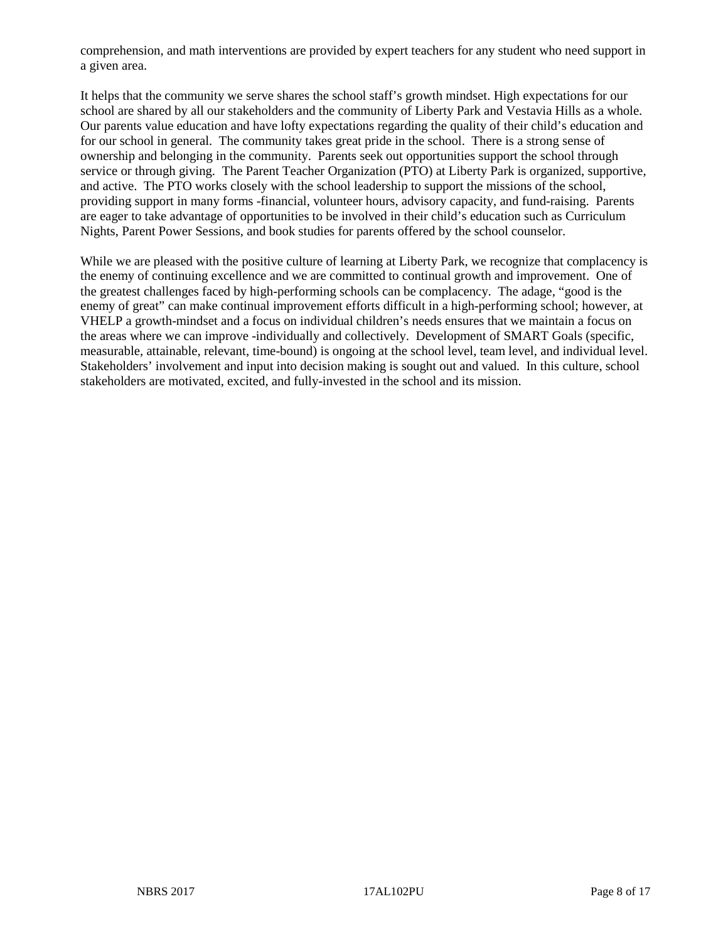comprehension, and math interventions are provided by expert teachers for any student who need support in a given area.

It helps that the community we serve shares the school staff's growth mindset. High expectations for our school are shared by all our stakeholders and the community of Liberty Park and Vestavia Hills as a whole. Our parents value education and have lofty expectations regarding the quality of their child's education and for our school in general. The community takes great pride in the school. There is a strong sense of ownership and belonging in the community. Parents seek out opportunities support the school through service or through giving. The Parent Teacher Organization (PTO) at Liberty Park is organized, supportive, and active. The PTO works closely with the school leadership to support the missions of the school, providing support in many forms -financial, volunteer hours, advisory capacity, and fund-raising. Parents are eager to take advantage of opportunities to be involved in their child's education such as Curriculum Nights, Parent Power Sessions, and book studies for parents offered by the school counselor.

While we are pleased with the positive culture of learning at Liberty Park, we recognize that complacency is the enemy of continuing excellence and we are committed to continual growth and improvement. One of the greatest challenges faced by high-performing schools can be complacency. The adage, "good is the enemy of great" can make continual improvement efforts difficult in a high-performing school; however, at VHELP a growth-mindset and a focus on individual children's needs ensures that we maintain a focus on the areas where we can improve -individually and collectively. Development of SMART Goals (specific, measurable, attainable, relevant, time-bound) is ongoing at the school level, team level, and individual level. Stakeholders' involvement and input into decision making is sought out and valued. In this culture, school stakeholders are motivated, excited, and fully-invested in the school and its mission.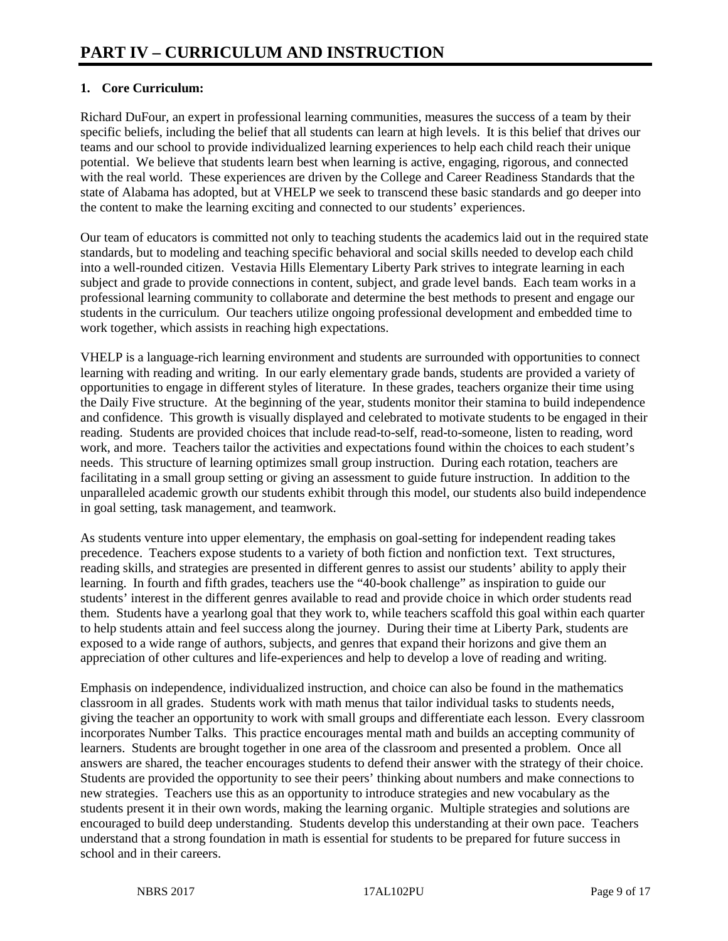# **1. Core Curriculum:**

Richard DuFour, an expert in professional learning communities, measures the success of a team by their specific beliefs, including the belief that all students can learn at high levels. It is this belief that drives our teams and our school to provide individualized learning experiences to help each child reach their unique potential. We believe that students learn best when learning is active, engaging, rigorous, and connected with the real world. These experiences are driven by the College and Career Readiness Standards that the state of Alabama has adopted, but at VHELP we seek to transcend these basic standards and go deeper into the content to make the learning exciting and connected to our students' experiences.

Our team of educators is committed not only to teaching students the academics laid out in the required state standards, but to modeling and teaching specific behavioral and social skills needed to develop each child into a well-rounded citizen. Vestavia Hills Elementary Liberty Park strives to integrate learning in each subject and grade to provide connections in content, subject, and grade level bands. Each team works in a professional learning community to collaborate and determine the best methods to present and engage our students in the curriculum. Our teachers utilize ongoing professional development and embedded time to work together, which assists in reaching high expectations.

VHELP is a language-rich learning environment and students are surrounded with opportunities to connect learning with reading and writing. In our early elementary grade bands, students are provided a variety of opportunities to engage in different styles of literature. In these grades, teachers organize their time using the Daily Five structure. At the beginning of the year, students monitor their stamina to build independence and confidence. This growth is visually displayed and celebrated to motivate students to be engaged in their reading. Students are provided choices that include read-to-self, read-to-someone, listen to reading, word work, and more. Teachers tailor the activities and expectations found within the choices to each student's needs. This structure of learning optimizes small group instruction. During each rotation, teachers are facilitating in a small group setting or giving an assessment to guide future instruction. In addition to the unparalleled academic growth our students exhibit through this model, our students also build independence in goal setting, task management, and teamwork.

As students venture into upper elementary, the emphasis on goal-setting for independent reading takes precedence. Teachers expose students to a variety of both fiction and nonfiction text. Text structures, reading skills, and strategies are presented in different genres to assist our students' ability to apply their learning. In fourth and fifth grades, teachers use the "40-book challenge" as inspiration to guide our students' interest in the different genres available to read and provide choice in which order students read them. Students have a yearlong goal that they work to, while teachers scaffold this goal within each quarter to help students attain and feel success along the journey. During their time at Liberty Park, students are exposed to a wide range of authors, subjects, and genres that expand their horizons and give them an appreciation of other cultures and life-experiences and help to develop a love of reading and writing.

Emphasis on independence, individualized instruction, and choice can also be found in the mathematics classroom in all grades. Students work with math menus that tailor individual tasks to students needs, giving the teacher an opportunity to work with small groups and differentiate each lesson. Every classroom incorporates Number Talks. This practice encourages mental math and builds an accepting community of learners. Students are brought together in one area of the classroom and presented a problem. Once all answers are shared, the teacher encourages students to defend their answer with the strategy of their choice. Students are provided the opportunity to see their peers' thinking about numbers and make connections to new strategies. Teachers use this as an opportunity to introduce strategies and new vocabulary as the students present it in their own words, making the learning organic. Multiple strategies and solutions are encouraged to build deep understanding. Students develop this understanding at their own pace. Teachers understand that a strong foundation in math is essential for students to be prepared for future success in school and in their careers.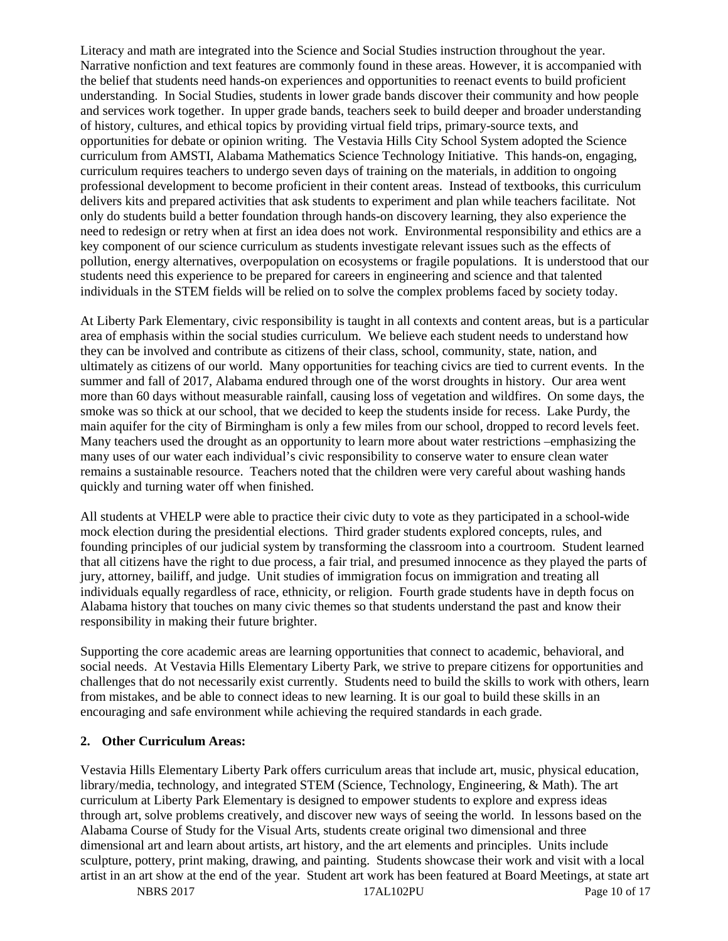Literacy and math are integrated into the Science and Social Studies instruction throughout the year. Narrative nonfiction and text features are commonly found in these areas. However, it is accompanied with the belief that students need hands-on experiences and opportunities to reenact events to build proficient understanding. In Social Studies, students in lower grade bands discover their community and how people and services work together. In upper grade bands, teachers seek to build deeper and broader understanding of history, cultures, and ethical topics by providing virtual field trips, primary-source texts, and opportunities for debate or opinion writing. The Vestavia Hills City School System adopted the Science curriculum from AMSTI, Alabama Mathematics Science Technology Initiative. This hands-on, engaging, curriculum requires teachers to undergo seven days of training on the materials, in addition to ongoing professional development to become proficient in their content areas. Instead of textbooks, this curriculum delivers kits and prepared activities that ask students to experiment and plan while teachers facilitate. Not only do students build a better foundation through hands-on discovery learning, they also experience the need to redesign or retry when at first an idea does not work. Environmental responsibility and ethics are a key component of our science curriculum as students investigate relevant issues such as the effects of pollution, energy alternatives, overpopulation on ecosystems or fragile populations. It is understood that our students need this experience to be prepared for careers in engineering and science and that talented individuals in the STEM fields will be relied on to solve the complex problems faced by society today.

At Liberty Park Elementary, civic responsibility is taught in all contexts and content areas, but is a particular area of emphasis within the social studies curriculum. We believe each student needs to understand how they can be involved and contribute as citizens of their class, school, community, state, nation, and ultimately as citizens of our world. Many opportunities for teaching civics are tied to current events. In the summer and fall of 2017, Alabama endured through one of the worst droughts in history. Our area went more than 60 days without measurable rainfall, causing loss of vegetation and wildfires. On some days, the smoke was so thick at our school, that we decided to keep the students inside for recess. Lake Purdy, the main aquifer for the city of Birmingham is only a few miles from our school, dropped to record levels feet. Many teachers used the drought as an opportunity to learn more about water restrictions –emphasizing the many uses of our water each individual's civic responsibility to conserve water to ensure clean water remains a sustainable resource. Teachers noted that the children were very careful about washing hands quickly and turning water off when finished.

All students at VHELP were able to practice their civic duty to vote as they participated in a school-wide mock election during the presidential elections. Third grader students explored concepts, rules, and founding principles of our judicial system by transforming the classroom into a courtroom. Student learned that all citizens have the right to due process, a fair trial, and presumed innocence as they played the parts of jury, attorney, bailiff, and judge. Unit studies of immigration focus on immigration and treating all individuals equally regardless of race, ethnicity, or religion. Fourth grade students have in depth focus on Alabama history that touches on many civic themes so that students understand the past and know their responsibility in making their future brighter.

Supporting the core academic areas are learning opportunities that connect to academic, behavioral, and social needs. At Vestavia Hills Elementary Liberty Park, we strive to prepare citizens for opportunities and challenges that do not necessarily exist currently. Students need to build the skills to work with others, learn from mistakes, and be able to connect ideas to new learning. It is our goal to build these skills in an encouraging and safe environment while achieving the required standards in each grade.

#### **2. Other Curriculum Areas:**

Vestavia Hills Elementary Liberty Park offers curriculum areas that include art, music, physical education, library/media, technology, and integrated STEM (Science, Technology, Engineering, & Math). The art curriculum at Liberty Park Elementary is designed to empower students to explore and express ideas through art, solve problems creatively, and discover new ways of seeing the world. In lessons based on the Alabama Course of Study for the Visual Arts, students create original two dimensional and three dimensional art and learn about artists, art history, and the art elements and principles. Units include sculpture, pottery, print making, drawing, and painting. Students showcase their work and visit with a local artist in an art show at the end of the year. Student art work has been featured at Board Meetings, at state art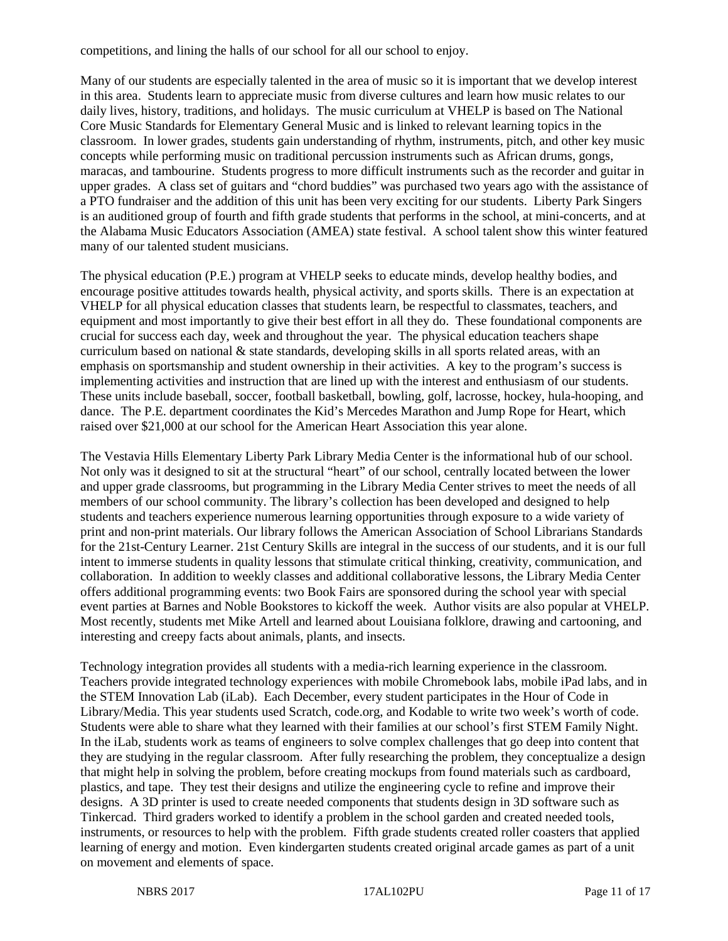competitions, and lining the halls of our school for all our school to enjoy.

Many of our students are especially talented in the area of music so it is important that we develop interest in this area. Students learn to appreciate music from diverse cultures and learn how music relates to our daily lives, history, traditions, and holidays. The music curriculum at VHELP is based on The National Core Music Standards for Elementary General Music and is linked to relevant learning topics in the classroom. In lower grades, students gain understanding of rhythm, instruments, pitch, and other key music concepts while performing music on traditional percussion instruments such as African drums, gongs, maracas, and tambourine. Students progress to more difficult instruments such as the recorder and guitar in upper grades. A class set of guitars and "chord buddies" was purchased two years ago with the assistance of a PTO fundraiser and the addition of this unit has been very exciting for our students. Liberty Park Singers is an auditioned group of fourth and fifth grade students that performs in the school, at mini-concerts, and at the Alabama Music Educators Association (AMEA) state festival. A school talent show this winter featured many of our talented student musicians.

The physical education (P.E.) program at VHELP seeks to educate minds, develop healthy bodies, and encourage positive attitudes towards health, physical activity, and sports skills. There is an expectation at VHELP for all physical education classes that students learn, be respectful to classmates, teachers, and equipment and most importantly to give their best effort in all they do. These foundational components are crucial for success each day, week and throughout the year. The physical education teachers shape curriculum based on national & state standards, developing skills in all sports related areas, with an emphasis on sportsmanship and student ownership in their activities. A key to the program's success is implementing activities and instruction that are lined up with the interest and enthusiasm of our students. These units include baseball, soccer, football basketball, bowling, golf, lacrosse, hockey, hula-hooping, and dance. The P.E. department coordinates the Kid's Mercedes Marathon and Jump Rope for Heart, which raised over \$21,000 at our school for the American Heart Association this year alone.

The Vestavia Hills Elementary Liberty Park Library Media Center is the informational hub of our school. Not only was it designed to sit at the structural "heart" of our school, centrally located between the lower and upper grade classrooms, but programming in the Library Media Center strives to meet the needs of all members of our school community. The library's collection has been developed and designed to help students and teachers experience numerous learning opportunities through exposure to a wide variety of print and non-print materials. Our library follows the American Association of School Librarians Standards for the 21st-Century Learner. 21st Century Skills are integral in the success of our students, and it is our full intent to immerse students in quality lessons that stimulate critical thinking, creativity, communication, and collaboration. In addition to weekly classes and additional collaborative lessons, the Library Media Center offers additional programming events: two Book Fairs are sponsored during the school year with special event parties at Barnes and Noble Bookstores to kickoff the week. Author visits are also popular at VHELP. Most recently, students met Mike Artell and learned about Louisiana folklore, drawing and cartooning, and interesting and creepy facts about animals, plants, and insects.

Technology integration provides all students with a media-rich learning experience in the classroom. Teachers provide integrated technology experiences with mobile Chromebook labs, mobile iPad labs, and in the STEM Innovation Lab (iLab). Each December, every student participates in the Hour of Code in Library/Media. This year students used Scratch, code.org, and Kodable to write two week's worth of code. Students were able to share what they learned with their families at our school's first STEM Family Night. In the iLab, students work as teams of engineers to solve complex challenges that go deep into content that they are studying in the regular classroom. After fully researching the problem, they conceptualize a design that might help in solving the problem, before creating mockups from found materials such as cardboard, plastics, and tape. They test their designs and utilize the engineering cycle to refine and improve their designs. A 3D printer is used to create needed components that students design in 3D software such as Tinkercad. Third graders worked to identify a problem in the school garden and created needed tools, instruments, or resources to help with the problem. Fifth grade students created roller coasters that applied learning of energy and motion. Even kindergarten students created original arcade games as part of a unit on movement and elements of space.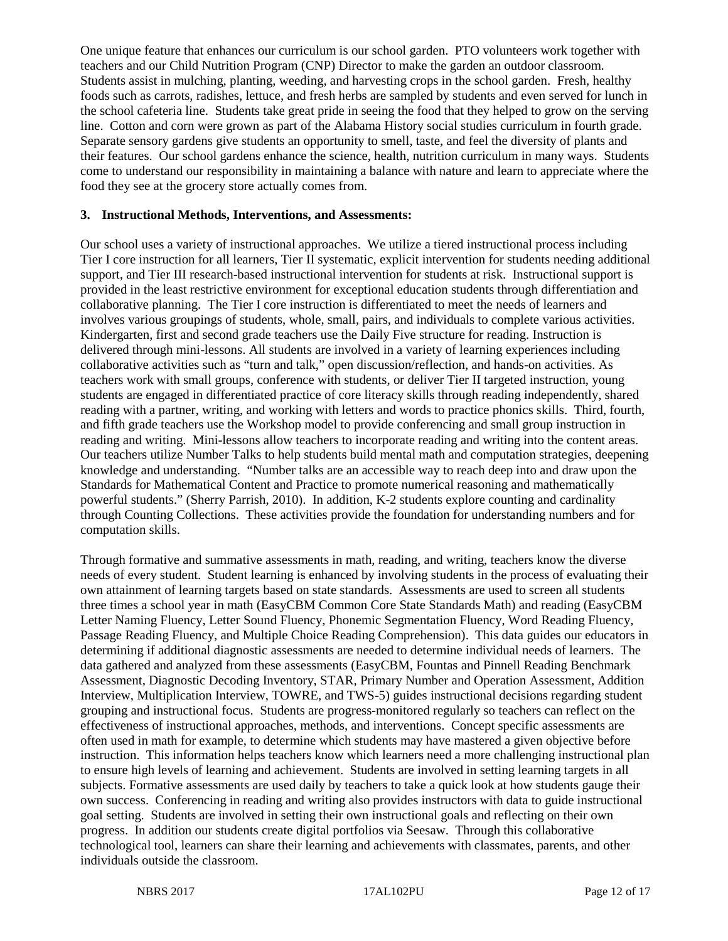One unique feature that enhances our curriculum is our school garden. PTO volunteers work together with teachers and our Child Nutrition Program (CNP) Director to make the garden an outdoor classroom. Students assist in mulching, planting, weeding, and harvesting crops in the school garden. Fresh, healthy foods such as carrots, radishes, lettuce, and fresh herbs are sampled by students and even served for lunch in the school cafeteria line. Students take great pride in seeing the food that they helped to grow on the serving line. Cotton and corn were grown as part of the Alabama History social studies curriculum in fourth grade. Separate sensory gardens give students an opportunity to smell, taste, and feel the diversity of plants and their features. Our school gardens enhance the science, health, nutrition curriculum in many ways. Students come to understand our responsibility in maintaining a balance with nature and learn to appreciate where the food they see at the grocery store actually comes from.

#### **3. Instructional Methods, Interventions, and Assessments:**

Our school uses a variety of instructional approaches. We utilize a tiered instructional process including Tier I core instruction for all learners, Tier II systematic, explicit intervention for students needing additional support, and Tier III research-based instructional intervention for students at risk. Instructional support is provided in the least restrictive environment for exceptional education students through differentiation and collaborative planning. The Tier I core instruction is differentiated to meet the needs of learners and involves various groupings of students, whole, small, pairs, and individuals to complete various activities. Kindergarten, first and second grade teachers use the Daily Five structure for reading. Instruction is delivered through mini-lessons. All students are involved in a variety of learning experiences including collaborative activities such as "turn and talk," open discussion/reflection, and hands-on activities. As teachers work with small groups, conference with students, or deliver Tier II targeted instruction, young students are engaged in differentiated practice of core literacy skills through reading independently, shared reading with a partner, writing, and working with letters and words to practice phonics skills. Third, fourth, and fifth grade teachers use the Workshop model to provide conferencing and small group instruction in reading and writing. Mini-lessons allow teachers to incorporate reading and writing into the content areas. Our teachers utilize Number Talks to help students build mental math and computation strategies, deepening knowledge and understanding. "Number talks are an accessible way to reach deep into and draw upon the Standards for Mathematical Content and Practice to promote numerical reasoning and mathematically powerful students." (Sherry Parrish, 2010). In addition, K-2 students explore counting and cardinality through Counting Collections. These activities provide the foundation for understanding numbers and for computation skills.

Through formative and summative assessments in math, reading, and writing, teachers know the diverse needs of every student. Student learning is enhanced by involving students in the process of evaluating their own attainment of learning targets based on state standards. Assessments are used to screen all students three times a school year in math (EasyCBM Common Core State Standards Math) and reading (EasyCBM Letter Naming Fluency, Letter Sound Fluency, Phonemic Segmentation Fluency, Word Reading Fluency, Passage Reading Fluency, and Multiple Choice Reading Comprehension). This data guides our educators in determining if additional diagnostic assessments are needed to determine individual needs of learners. The data gathered and analyzed from these assessments (EasyCBM, Fountas and Pinnell Reading Benchmark Assessment, Diagnostic Decoding Inventory, STAR, Primary Number and Operation Assessment, Addition Interview, Multiplication Interview, TOWRE, and TWS-5) guides instructional decisions regarding student grouping and instructional focus. Students are progress-monitored regularly so teachers can reflect on the effectiveness of instructional approaches, methods, and interventions. Concept specific assessments are often used in math for example, to determine which students may have mastered a given objective before instruction. This information helps teachers know which learners need a more challenging instructional plan to ensure high levels of learning and achievement. Students are involved in setting learning targets in all subjects. Formative assessments are used daily by teachers to take a quick look at how students gauge their own success. Conferencing in reading and writing also provides instructors with data to guide instructional goal setting. Students are involved in setting their own instructional goals and reflecting on their own progress. In addition our students create digital portfolios via Seesaw. Through this collaborative technological tool, learners can share their learning and achievements with classmates, parents, and other individuals outside the classroom.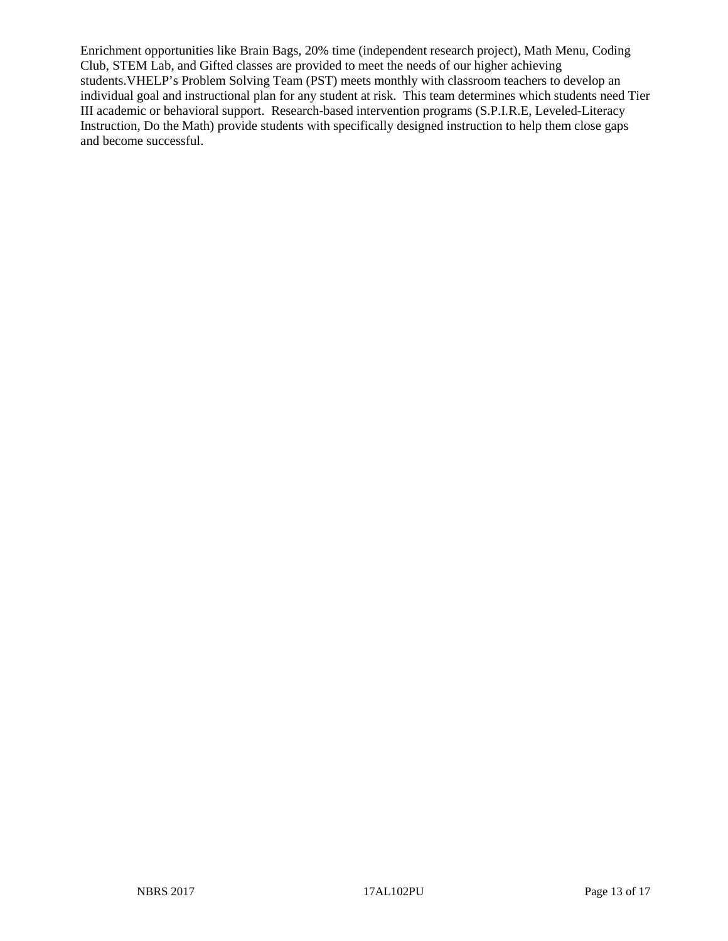Enrichment opportunities like Brain Bags, 20% time (independent research project), Math Menu, Coding Club, STEM Lab, and Gifted classes are provided to meet the needs of our higher achieving students.VHELP's Problem Solving Team (PST) meets monthly with classroom teachers to develop an individual goal and instructional plan for any student at risk. This team determines which students need Tier III academic or behavioral support. Research-based intervention programs (S.P.I.R.E, Leveled-Literacy Instruction, Do the Math) provide students with specifically designed instruction to help them close gaps and become successful.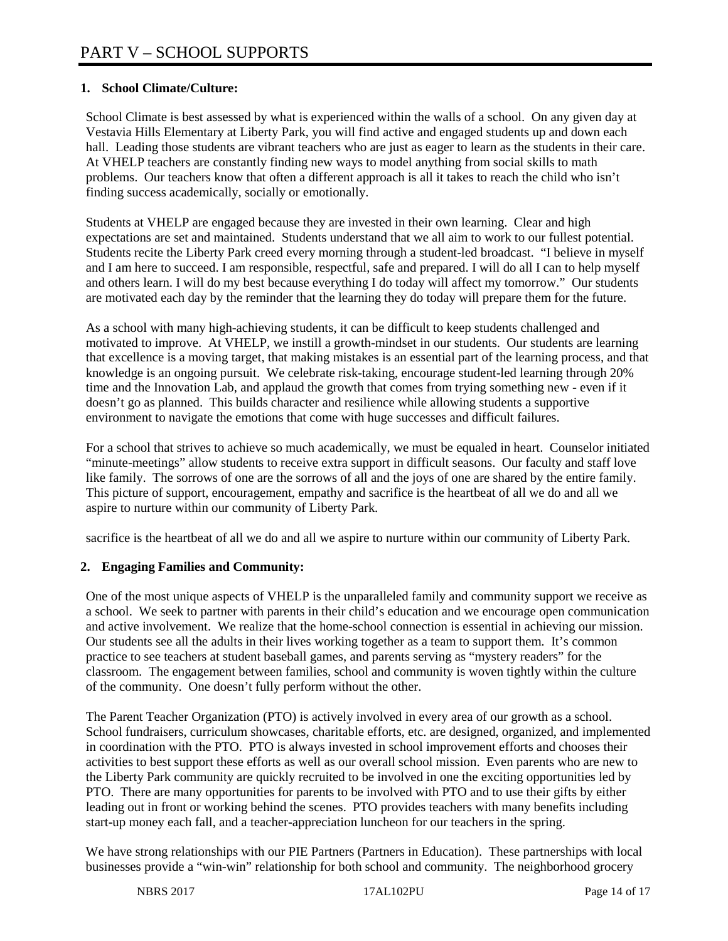# **1. School Climate/Culture:**

School Climate is best assessed by what is experienced within the walls of a school. On any given day at Vestavia Hills Elementary at Liberty Park, you will find active and engaged students up and down each hall. Leading those students are vibrant teachers who are just as eager to learn as the students in their care. At VHELP teachers are constantly finding new ways to model anything from social skills to math problems. Our teachers know that often a different approach is all it takes to reach the child who isn't finding success academically, socially or emotionally.

Students at VHELP are engaged because they are invested in their own learning. Clear and high expectations are set and maintained. Students understand that we all aim to work to our fullest potential. Students recite the Liberty Park creed every morning through a student-led broadcast. "I believe in myself and I am here to succeed. I am responsible, respectful, safe and prepared. I will do all I can to help myself and others learn. I will do my best because everything I do today will affect my tomorrow." Our students are motivated each day by the reminder that the learning they do today will prepare them for the future.

As a school with many high-achieving students, it can be difficult to keep students challenged and motivated to improve. At VHELP, we instill a growth-mindset in our students. Our students are learning that excellence is a moving target, that making mistakes is an essential part of the learning process, and that knowledge is an ongoing pursuit. We celebrate risk-taking, encourage student-led learning through 20% time and the Innovation Lab, and applaud the growth that comes from trying something new - even if it doesn't go as planned. This builds character and resilience while allowing students a supportive environment to navigate the emotions that come with huge successes and difficult failures.

For a school that strives to achieve so much academically, we must be equaled in heart. Counselor initiated "minute-meetings" allow students to receive extra support in difficult seasons. Our faculty and staff love like family. The sorrows of one are the sorrows of all and the joys of one are shared by the entire family. This picture of support, encouragement, empathy and sacrifice is the heartbeat of all we do and all we aspire to nurture within our community of Liberty Park.

sacrifice is the heartbeat of all we do and all we aspire to nurture within our community of Liberty Park.

# **2. Engaging Families and Community:**

One of the most unique aspects of VHELP is the unparalleled family and community support we receive as a school. We seek to partner with parents in their child's education and we encourage open communication and active involvement. We realize that the home-school connection is essential in achieving our mission. Our students see all the adults in their lives working together as a team to support them. It's common practice to see teachers at student baseball games, and parents serving as "mystery readers" for the classroom. The engagement between families, school and community is woven tightly within the culture of the community. One doesn't fully perform without the other.

The Parent Teacher Organization (PTO) is actively involved in every area of our growth as a school. School fundraisers, curriculum showcases, charitable efforts, etc. are designed, organized, and implemented in coordination with the PTO. PTO is always invested in school improvement efforts and chooses their activities to best support these efforts as well as our overall school mission. Even parents who are new to the Liberty Park community are quickly recruited to be involved in one the exciting opportunities led by PTO. There are many opportunities for parents to be involved with PTO and to use their gifts by either leading out in front or working behind the scenes. PTO provides teachers with many benefits including start-up money each fall, and a teacher-appreciation luncheon for our teachers in the spring.

We have strong relationships with our PIE Partners (Partners in Education). These partnerships with local businesses provide a "win-win" relationship for both school and community. The neighborhood grocery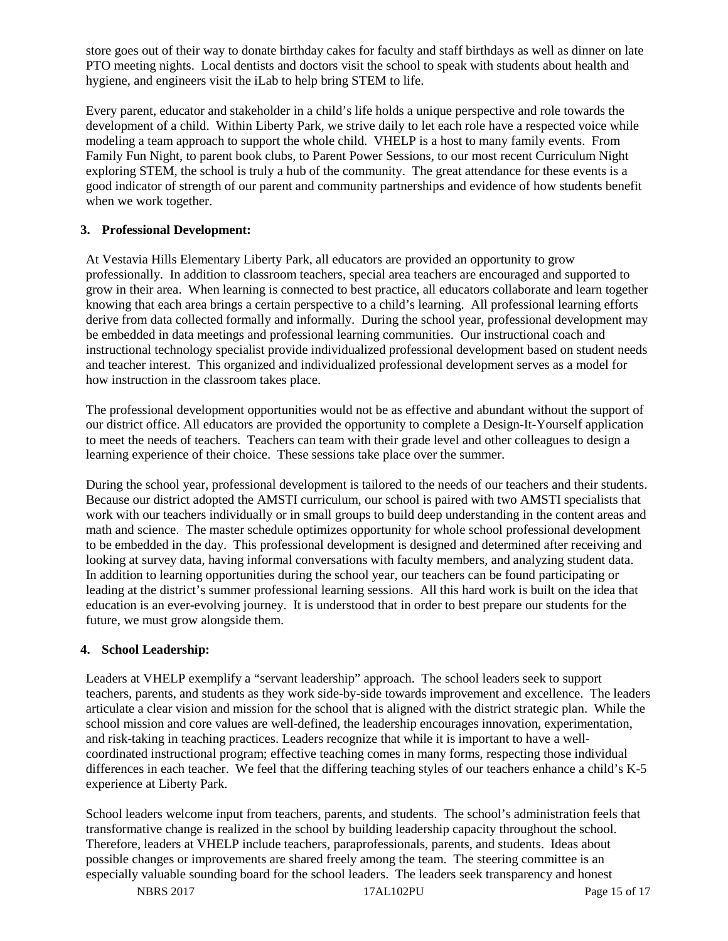store goes out of their way to donate birthday cakes for faculty and staff birthdays as well as dinner on late PTO meeting nights. Local dentists and doctors visit the school to speak with students about health and hygiene, and engineers visit the iLab to help bring STEM to life.

Every parent, educator and stakeholder in a child's life holds a unique perspective and role towards the development of a child. Within Liberty Park, we strive daily to let each role have a respected voice while modeling a team approach to support the whole child. VHELP is a host to many family events. From Family Fun Night, to parent book clubs, to Parent Power Sessions, to our most recent Curriculum Night exploring STEM, the school is truly a hub of the community. The great attendance for these events is a good indicator of strength of our parent and community partnerships and evidence of how students benefit when we work together.

### **3. Professional Development:**

At Vestavia Hills Elementary Liberty Park, all educators are provided an opportunity to grow professionally. In addition to classroom teachers, special area teachers are encouraged and supported to grow in their area. When learning is connected to best practice, all educators collaborate and learn together knowing that each area brings a certain perspective to a child's learning. All professional learning efforts derive from data collected formally and informally. During the school year, professional development may be embedded in data meetings and professional learning communities. Our instructional coach and instructional technology specialist provide individualized professional development based on student needs and teacher interest. This organized and individualized professional development serves as a model for how instruction in the classroom takes place.

The professional development opportunities would not be as effective and abundant without the support of our district office. All educators are provided the opportunity to complete a Design-It-Yourself application to meet the needs of teachers. Teachers can team with their grade level and other colleagues to design a learning experience of their choice. These sessions take place over the summer.

During the school year, professional development is tailored to the needs of our teachers and their students. Because our district adopted the AMSTI curriculum, our school is paired with two AMSTI specialists that work with our teachers individually or in small groups to build deep understanding in the content areas and math and science. The master schedule optimizes opportunity for whole school professional development to be embedded in the day. This professional development is designed and determined after receiving and looking at survey data, having informal conversations with faculty members, and analyzing student data. In addition to learning opportunities during the school year, our teachers can be found participating or leading at the district's summer professional learning sessions. All this hard work is built on the idea that education is an ever-evolving journey. It is understood that in order to best prepare our students for the future, we must grow alongside them.

# **4. School Leadership:**

Leaders at VHELP exemplify a "servant leadership" approach. The school leaders seek to support teachers, parents, and students as they work side-by-side towards improvement and excellence. The leaders articulate a clear vision and mission for the school that is aligned with the district strategic plan. While the school mission and core values are well-defined, the leadership encourages innovation, experimentation, and risk-taking in teaching practices. Leaders recognize that while it is important to have a wellcoordinated instructional program; effective teaching comes in many forms, respecting those individual differences in each teacher. We feel that the differing teaching styles of our teachers enhance a child's K-5 experience at Liberty Park.

School leaders welcome input from teachers, parents, and students. The school's administration feels that transformative change is realized in the school by building leadership capacity throughout the school. Therefore, leaders at VHELP include teachers, paraprofessionals, parents, and students. Ideas about possible changes or improvements are shared freely among the team. The steering committee is an especially valuable sounding board for the school leaders. The leaders seek transparency and honest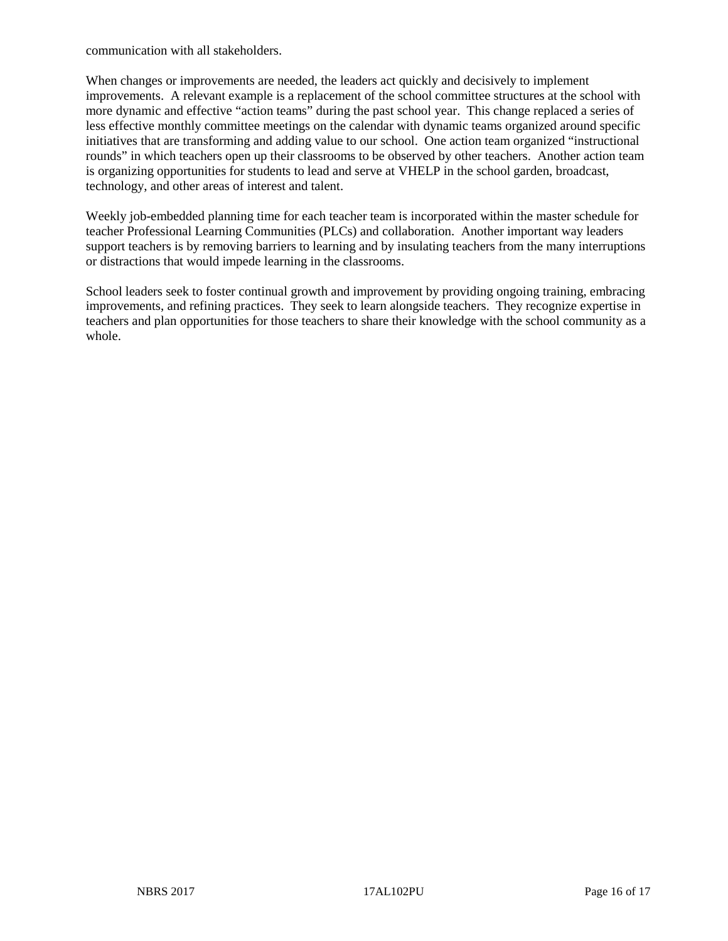communication with all stakeholders.

When changes or improvements are needed, the leaders act quickly and decisively to implement improvements. A relevant example is a replacement of the school committee structures at the school with more dynamic and effective "action teams" during the past school year. This change replaced a series of less effective monthly committee meetings on the calendar with dynamic teams organized around specific initiatives that are transforming and adding value to our school. One action team organized "instructional rounds" in which teachers open up their classrooms to be observed by other teachers. Another action team is organizing opportunities for students to lead and serve at VHELP in the school garden, broadcast, technology, and other areas of interest and talent.

Weekly job-embedded planning time for each teacher team is incorporated within the master schedule for teacher Professional Learning Communities (PLCs) and collaboration. Another important way leaders support teachers is by removing barriers to learning and by insulating teachers from the many interruptions or distractions that would impede learning in the classrooms.

School leaders seek to foster continual growth and improvement by providing ongoing training, embracing improvements, and refining practices. They seek to learn alongside teachers. They recognize expertise in teachers and plan opportunities for those teachers to share their knowledge with the school community as a whole.